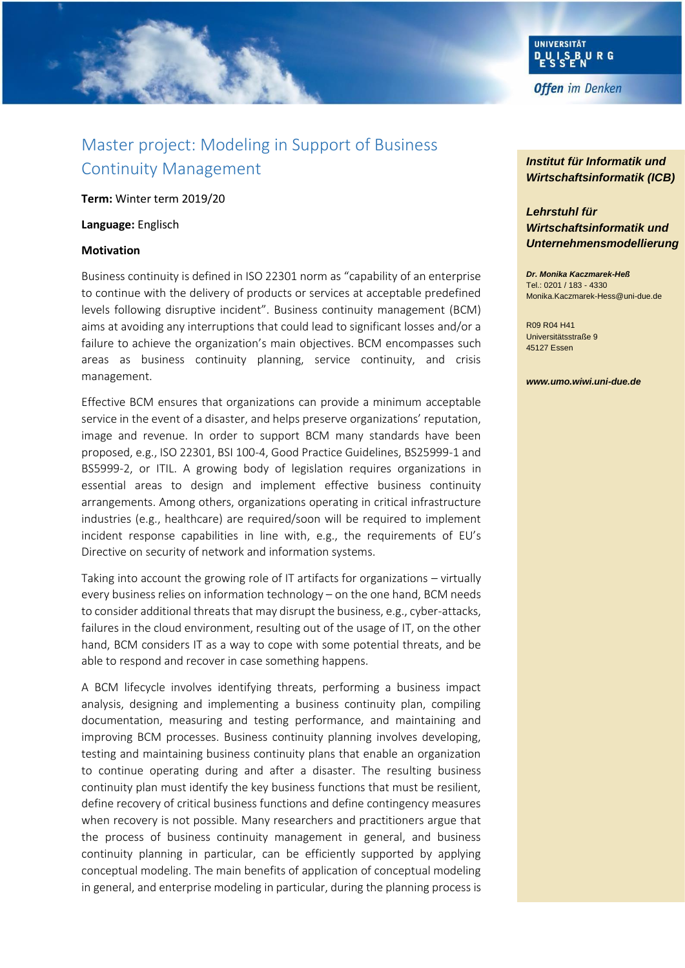

# Master project: Modeling in Support of Business Continuity Management

**Term:** Winter term 2019/20

#### **Language:** Englisch

#### **Motivation**

Business continuity is defined in ISO 22301 norm as "capability of an enterprise to continue with the delivery of products or services at acceptable predefined levels following disruptive incident". Business continuity management (BCM) aims at avoiding any interruptions that could lead to significant losses and/or a failure to achieve the organization's main objectives. BCM encompasses such areas as business continuity planning, service continuity, and crisis management.

Effective BCM ensures that organizations can provide a minimum acceptable service in the event of a disaster, and helps preserve organizations' reputation, image and revenue. In order to support BCM many standards have been proposed, e.g., ISO 22301, BSI 100-4, Good Practice Guidelines, BS25999-1 and BS5999-2, or ITIL. A growing body of legislation requires organizations in essential areas to design and implement effective business continuity arrangements. Among others, organizations operating in critical infrastructure industries (e.g., healthcare) are required/soon will be required to implement incident response capabilities in line with, e.g., the requirements of EU's Directive on security of network and information systems.

Taking into account the growing role of IT artifacts for organizations – virtually every business relies on information technology – on the one hand, BCM needs to consider additional threats that may disrupt the business, e.g., cyber-attacks, failures in the cloud environment, resulting out of the usage of IT, on the other hand, BCM considers IT as a way to cope with some potential threats, and be able to respond and recover in case something happens.

A BCM lifecycle involves identifying threats, performing a business impact analysis, designing and implementing a business continuity plan, compiling documentation, measuring and testing performance, and maintaining and improving BCM processes. Business continuity planning involves developing, testing and maintaining business continuity plans that enable an organization to continue operating during and after a disaster. The resulting business continuity plan must identify the key business functions that must be resilient, define recovery of critical business functions and define contingency measures when recovery is not possible. Many researchers and practitioners argue that the process of business continuity management in general, and business continuity planning in particular, can be efficiently supported by applying conceptual modeling. The main benefits of application of conceptual modeling in general, and enterprise modeling in particular, during the planning process is

### *Institut für Informatik und Wirtschaftsinformatik (ICB)*

## *Lehrstuhl für Wirtschaftsinformatik und Unternehmensmodellierung*

*Dr. Monika Kaczmarek-Heß* Tel.: 0201 / 183 - 4330 Monika.Kaczmarek-Hess@uni-due.de

R09 R04 H41 Universitätsstraße 9 45127 Essen

#### *www.umo.wiwi.uni-due.de*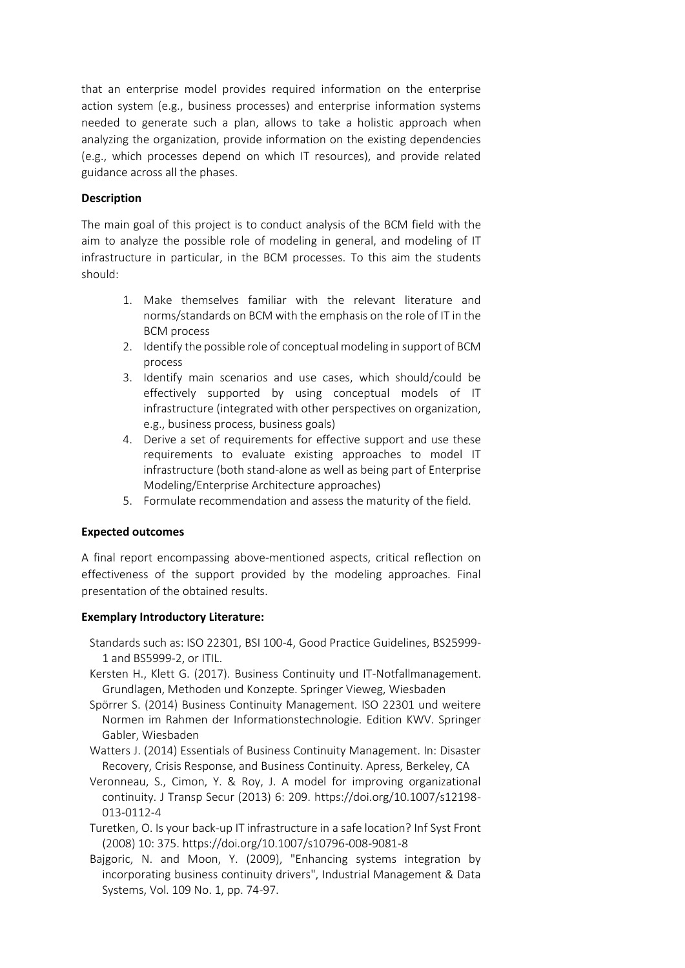that an enterprise model provides required information on the enterprise action system (e.g., business processes) and enterprise information systems needed to generate such a plan, allows to take a holistic approach when analyzing the organization, provide information on the existing dependencies (e.g., which processes depend on which IT resources), and provide related guidance across all the phases.

### **Description**

The main goal of this project is to conduct analysis of the BCM field with the aim to analyze the possible role of modeling in general, and modeling of IT infrastructure in particular, in the BCM processes. To this aim the students should:

- 1. Make themselves familiar with the relevant literature and norms/standards on BCM with the emphasis on the role of IT in the BCM process
- 2. Identify the possible role of conceptual modeling in support of BCM process
- 3. Identify main scenarios and use cases, which should/could be effectively supported by using conceptual models of IT infrastructure (integrated with other perspectives on organization, e.g., business process, business goals)
- 4. Derive a set of requirements for effective support and use these requirements to evaluate existing approaches to model IT infrastructure (both stand-alone as well as being part of Enterprise Modeling/Enterprise Architecture approaches)
- 5. Formulate recommendation and assess the maturity of the field.

#### **Expected outcomes**

A final report encompassing above-mentioned aspects, critical reflection on effectiveness of the support provided by the modeling approaches. Final presentation of the obtained results.

#### **Exemplary Introductory Literature:**

- Standards such as: ISO 22301, BSI 100-4, Good Practice Guidelines, BS25999- 1 and BS5999-2, or ITIL.
- Kersten H., Klett G. (2017). Business Continuity und IT-Notfallmanagement. Grundlagen, Methoden und Konzepte. Springer Vieweg, Wiesbaden
- Spörrer S. (2014) Business Continuity Management. ISO 22301 und weitere Normen im Rahmen der Informationstechnologie. Edition KWV. Springer Gabler, Wiesbaden
- Watters J. (2014) Essentials of Business Continuity Management. In: Disaster Recovery, Crisis Response, and Business Continuity. Apress, Berkeley, CA
- Veronneau, S., Cimon, Y. & Roy, J. A model for improving organizational continuity. J Transp Secur (2013) 6: 209. https://doi.org/10.1007/s12198- 013-0112-4
- Turetken, O. Is your back-up IT infrastructure in a safe location? Inf Syst Front (2008) 10: 375. https://doi.org/10.1007/s10796-008-9081-8
- Bajgoric, N. and Moon, Y. (2009), "Enhancing systems integration by incorporating business continuity drivers", Industrial Management & Data Systems, Vol. 109 No. 1, pp. 74-97.